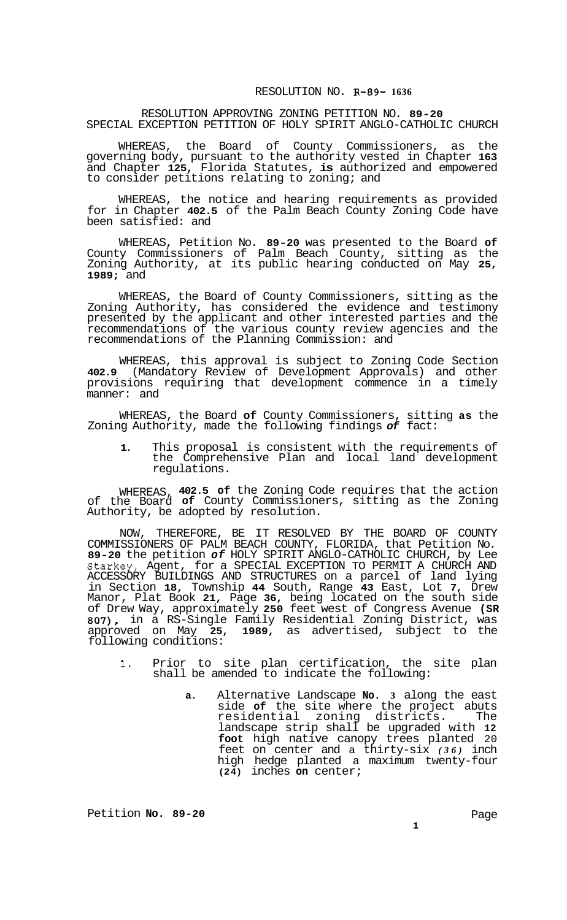## RESOLUTION APPROVING ZONING PETITION NO. **89-20**  SPECIAL EXCEPTION PETITION OF HOLY SPIRIT ANGLO-CATHOLIC CHURCH

WHEREAS, the Board of County Commissioners, as the governing body, pursuant to the authority vested in Chapter **163**  and Chapter **125,** Florida Statutes, **is** authorized and empowered to consider petitions relating to zoning; and

WHEREAS, the notice and hearing requirements as provided for in Chapter **402.5** of the Palm Beach County Zoning Code have been satisfied: and

WHEREAS, Petition No. **89-20** was presented to the Board **of**  County Commissioners of Palm Beach County, sitting as the Zoning Authority, at its public hearing conducted on May **25, 1989;** and

WHEREAS, the Board of County Commissioners, sitting as the Zoning Authority, has considered the evidence and testimony presented by the applicant and other interested parties and the recommendations of the various county review agencies and the recommendations of the Planning Commission: and

WHEREAS, this approval is subject to Zoning Code Section **402.9** (Mandatory Review of Development Approvals) and other provisions requiring that development commence in a timely manner: and

WHEREAS, the Board **of** County Commissioners, sitting **as** the Zoning Authority, made the following findings *of* fact:

**1.** This proposal is consistent with the requirements of the Comprehensive Plan and local land development regulations.

WHEREAS, **402.5 of** the Zoning Code requires that the action of the Board **of** County Commissioners, sitting as the Zoning Authority, be adopted by resolution.

NOW, THEREFORE, BE IT RESOLVED BY THE BOARD OF COUNTY COMMISSIONERS OF PALM BEACH COUNTY, FLORIDA, that Petition No. **89-20** the petition *of* HOLY SPIRIT ANGLO-CATHOLIC CHURCH, by Lee Starkey, Agent, for a SPECIAL EXCEPTION TO PERMIT A CHURCH AND ACCESSORY BUILDINGS AND STRUCTURES on a parcel of land lying in Section **18,** Township **44** South, Range **43** East, Lot **7,** Drew Manor, Plat Book **21,** Page **36,** being located on the south side of Drew Way, approximately **250** feet west of Congress Avenue **(SR 807),** in a RS-Single Family Residential Zoning District, was approved on May **25, 1989,** as advertised, subject to the approved on May 25,<br>following conditions:

- **1.** Prior to site plan certification, the site plan shall be amended to indicate the following:
	- **a.** Alternative Landscape **No. 3** along the east side **of** the site where the project abuts residential zoning districts. The landscape strip shall be upgraded with **12 foot** high native canopy trees planted 20 feet on center and a thirty-six *(36)* inch high hedge planted a maximum twenty-four **(24)** inches **on** center;

Petition **No. 89-20** Page

**1**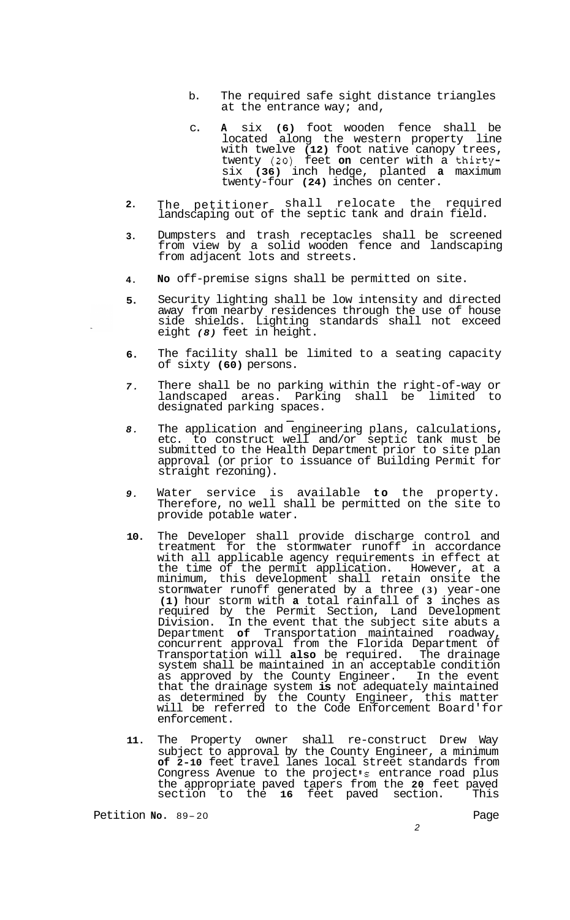- b. The required safe sight distance triangles at the entrance way; and,
- c. **A** six **(6)** foot wooden fence shall be located along the western property line with twelve **(12)** foot native canopy trees, twenty *(20)* feet **on** center with a thirtysix **(36)** inch hedge, planted **a** maximum twenty-four **(24)** inches on center.
- **2.**  The petitioner shall relocate the required landscaping out of the septic tank and drain field.
- **3.**  Dumpsters and trash receptacles shall be screened from view by a solid wooden fence and landscaping from adjacent lots and streets.
- **4. No** off-premise signs shall be permitted on site.
- **5.**  Security lighting shall be low intensity and directed away from nearby residences through the use of house side shields. Lighting standards shall not exceed eight *(8)* feet in height.
- **6.**  The facility shall be limited to a seating capacity of sixty **(60)** persons.
- *7.*  There shall be no parking within the right-of-way or landscaped areas. Parking shall be limited to designated parking spaces. -
- *8.*  The application and engineering plans, calculations, etc. to construct well and/or septic tank must be submitted to the Health Department prior to site plan approval (or prior to issuance of Building Permit for straight rezoning).
- *9.*  Water service is available **to** the property. Therefore, no well shall be permitted on the site to provide potable water.
- **10.**  The Developer shall provide discharge control and treatment for the stormwater runoff in accordance with all applicable agency requirements in effect at the time of the permit application. However, at a minimum, this development shall retain onsite the stormwater runoff generated by a three **(3)** year-one **(1)** hour storm with **a** total rainfall of **3** inches as required by the Permit Section, Land Development Division. In the event that the subject site abuts a Department **of** Transportation maintained roadway, concurrent approval from the Florida Department of Transportation will **also** be required. The drainage system shall be maintained in an acceptable condition as approved by the County Engineer. In the event that the drainage system **is** not adequately maintained as determined by the County Engineer, this matter will be referred to the Code Enforcement Board'for enforcement.
- **11.**  The Property owner shall re-construct Drew Way subject to approval by the County Engineer, a minimum **of 2-10** feet travel lanes local street standards from Congress Avenue to the project **s** entrance road plus the appropriate paved tapers from the **20** feet paved section to the 16 feet paved section. This

Petition No. 89-20 **NO.** 89-20 Page